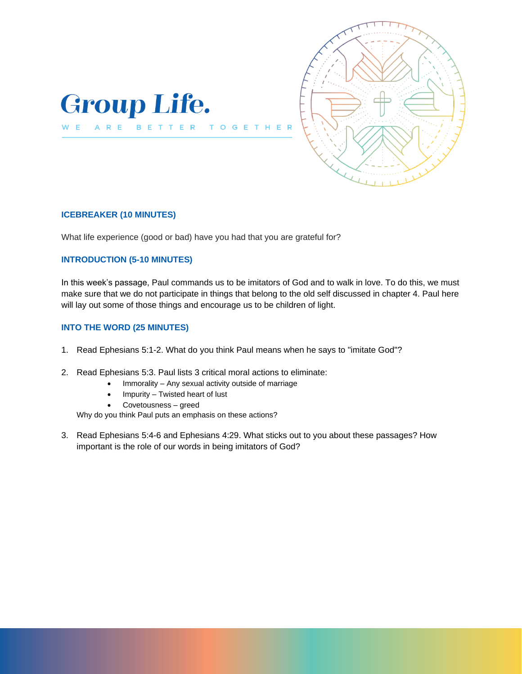



### **ICEBREAKER (10 MINUTES)**

W E

What life experience (good or bad) have you had that you are grateful for?

T O

 $\mathbf{G}$ E T.

## **INTRODUCTION (5-10 MINUTES)**

In this week's passage, Paul commands us to be imitators of God and to walk in love. To do this, we must make sure that we do not participate in things that belong to the old self discussed in chapter 4. Paul here will lay out some of those things and encourage us to be children of light.

## **INTO THE WORD (25 MINUTES)**

- 1. Read Ephesians 5:1-2. What do you think Paul means when he says to "imitate God"?
- 2. Read Ephesians 5:3. Paul lists 3 critical moral actions to eliminate:
	- Immorality Any sexual activity outside of marriage
	- Impurity Twisted heart of lust
	- Covetousness greed

Why do you think Paul puts an emphasis on these actions?

3. Read Ephesians 5:4-6 and Ephesians 4:29. What sticks out to you about these passages? How important is the role of our words in being imitators of God?